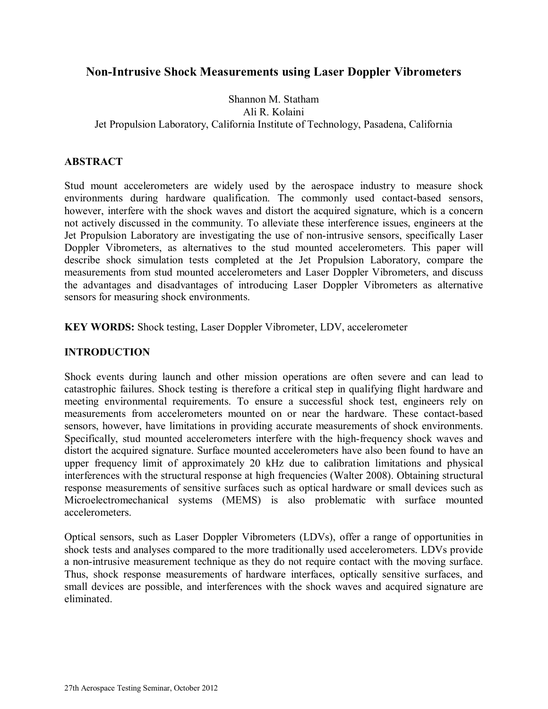# **Non-Intrusive Shock Measurements using Laser Doppler Vibrometers**

# Shannon M. Statham Ali R. Kolaini Jet Propulsion Laboratory, California Institute of Technology, Pasadena, California

### **ABSTRACT**

Stud mount accelerometers are widely used by the aerospace industry to measure shock environments during hardware qualification. The commonly used contact-based sensors, however, interfere with the shock waves and distort the acquired signature, which is a concern not actively discussed in the community. To alleviate these interference issues, engineers at the Jet Propulsion Laboratory are investigating the use of non-intrusive sensors, specifically Laser Doppler Vibrometers, as alternatives to the stud mounted accelerometers. This paper will describe shock simulation tests completed at the Jet Propulsion Laboratory, compare the measurements from stud mounted accelerometers and Laser Doppler Vibrometers, and discuss the advantages and disadvantages of introducing Laser Doppler Vibrometers as alternative sensors for measuring shock environments.

**KEY WORDS:** Shock testing, Laser Doppler Vibrometer, LDV, accelerometer

# **INTRODUCTION**

Shock events during launch and other mission operations are often severe and can lead to catastrophic failures. Shock testing is therefore a critical step in qualifying flight hardware and meeting environmental requirements. To ensure a successful shock test, engineers rely on measurements from accelerometers mounted on or near the hardware. These contact-based sensors, however, have limitations in providing accurate measurements of shock environments. Specifically, stud mounted accelerometers interfere with the high-frequency shock waves and distort the acquired signature. Surface mounted accelerometers have also been found to have an upper frequency limit of approximately 20 kHz due to calibration limitations and physical interferences with the structural response at high frequencies (Walter 2008). Obtaining structural response measurements of sensitive surfaces such as optical hardware or small devices such as Microelectromechanical systems (MEMS) is also problematic with surface mounted accelerometers.

Optical sensors, such as Laser Doppler Vibrometers (LDVs), offer a range of opportunities in shock tests and analyses compared to the more traditionally used accelerometers. LDVs provide a non-intrusive measurement technique as they do not require contact with the moving surface. Thus, shock response measurements of hardware interfaces, optically sensitive surfaces, and small devices are possible, and interferences with the shock waves and acquired signature are eliminated.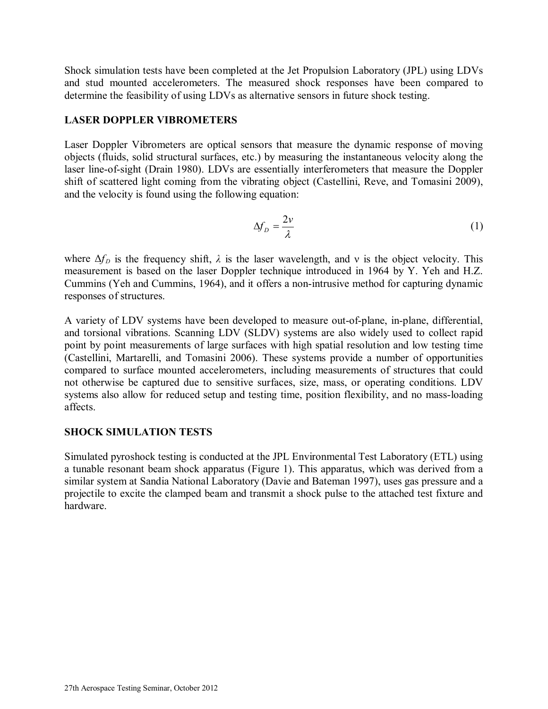Shock simulation tests have been completed at the Jet Propulsion Laboratory (JPL) using LDVs and stud mounted accelerometers. The measured shock responses have been compared to determine the feasibility of using LDVs as alternative sensors in future shock testing.

### **LASER DOPPLER VIBROMETERS**

Laser Doppler Vibrometers are optical sensors that measure the dynamic response of moving objects (fluids, solid structural surfaces, etc.) by measuring the instantaneous velocity along the laser line-of-sight (Drain 1980). LDVs are essentially interferometers that measure the Doppler shift of scattered light coming from the vibrating object (Castellini, Reve, and Tomasini 2009), and the velocity is found using the following equation:

$$
\Delta f_D = \frac{2\nu}{\lambda} \tag{1}
$$

where  $\Delta f_D$  is the frequency shift,  $\lambda$  is the laser wavelength, and v is the object velocity. This measurement is based on the laser Doppler technique introduced in 1964 by Y. Yeh and H.Z. Cummins (Yeh and Cummins, 1964), and it offers a non-intrusive method for capturing dynamic responses of structures.

A variety of LDV systems have been developed to measure out-of-plane, in-plane, differential, and torsional vibrations. Scanning LDV (SLDV) systems are also widely used to collect rapid point by point measurements of large surfaces with high spatial resolution and low testing time (Castellini, Martarelli, and Tomasini 2006). These systems provide a number of opportunities compared to surface mounted accelerometers, including measurements of structures that could not otherwise be captured due to sensitive surfaces, size, mass, or operating conditions. LDV systems also allow for reduced setup and testing time, position flexibility, and no mass-loading affects.

# **SHOCK SIMULATION TESTS**

Simulated pyroshock testing is conducted at the JPL Environmental Test Laboratory (ETL) using a tunable resonant beam shock apparatus [\(Figure 1\)](#page-2-0). This apparatus, which was derived from a similar system at Sandia National Laboratory (Davie and Bateman 1997), uses gas pressure and a projectile to excite the clamped beam and transmit a shock pulse to the attached test fixture and hardware.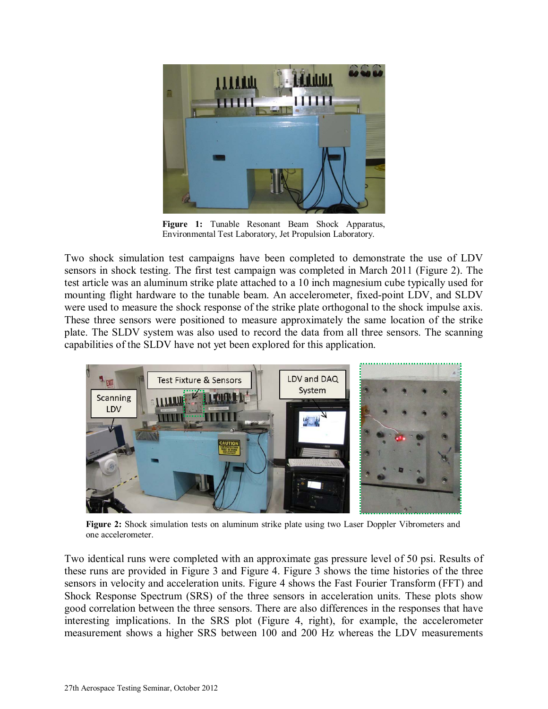

**Figure 1:** Tunable Resonant Beam Shock Apparatus, Environmental Test Laboratory, Jet Propulsion Laboratory.

<span id="page-2-0"></span>Two shock simulation test campaigns have been completed to demonstrate the use of LDV sensors in shock testing. The first test campaign was completed in March 2011 [\(Figure 2\)](#page-2-1). The test article was an aluminum strike plate attached to a 10 inch magnesium cube typically used for mounting flight hardware to the tunable beam. An accelerometer, fixed-point LDV, and SLDV were used to measure the shock response of the strike plate orthogonal to the shock impulse axis. These three sensors were positioned to measure approximately the same location of the strike plate. The SLDV system was also used to record the data from all three sensors. The scanning capabilities of the SLDV have not yet been explored for this application.



**Figure 2:** Shock simulation tests on aluminum strike plate using two Laser Doppler Vibrometers and one accelerometer.

<span id="page-2-1"></span>Two identical runs were completed with an approximate gas pressure level of 50 psi. Results of these runs are provided in [Figure 3](#page-3-0) and [Figure 4.](#page-3-1) [Figure 3](#page-3-0) shows the time histories of the three sensors in velocity and acceleration units. [Figure 4](#page-3-1) shows the Fast Fourier Transform (FFT) and Shock Response Spectrum (SRS) of the three sensors in acceleration units. These plots show good correlation between the three sensors. There are also differences in the responses that have interesting implications. In the SRS plot [\(Figure 4,](#page-3-1) right), for example, the accelerometer measurement shows a higher SRS between 100 and 200 Hz whereas the LDV measurements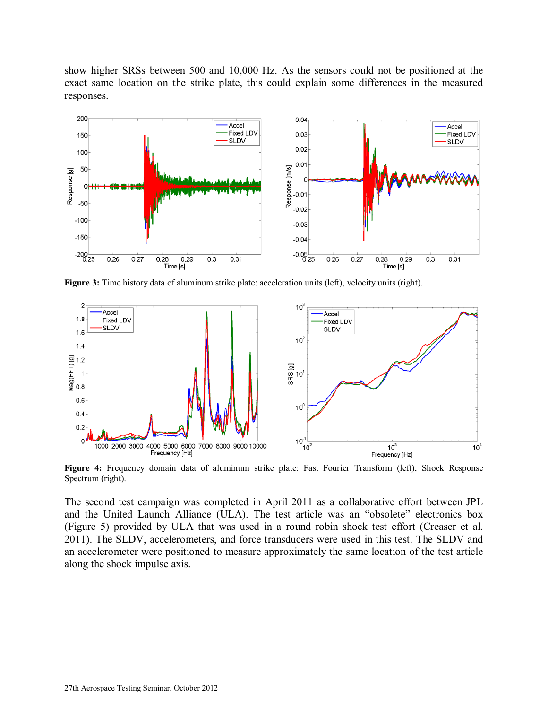show higher SRSs between 500 and 10,000 Hz. As the sensors could not be positioned at the exact same location on the strike plate, this could explain some differences in the measured responses.



<span id="page-3-0"></span>**Figure 3:** Time history data of aluminum strike plate: acceleration units (left), velocity units (right).



<span id="page-3-1"></span>Figure 4: Frequency domain data of aluminum strike plate: Fast Fourier Transform (left), Shock Response Spectrum (right).

The second test campaign was completed in April 2011 as a collaborative effort between JPL and the United Launch Alliance (ULA). The test article was an "obsolete" electronics box [\(Figure 5\)](#page-4-0) provided by ULA that was used in a round robin shock test effort (Creaser et al. 2011). The SLDV, accelerometers, and force transducers were used in this test. The SLDV and an accelerometer were positioned to measure approximately the same location of the test article along the shock impulse axis.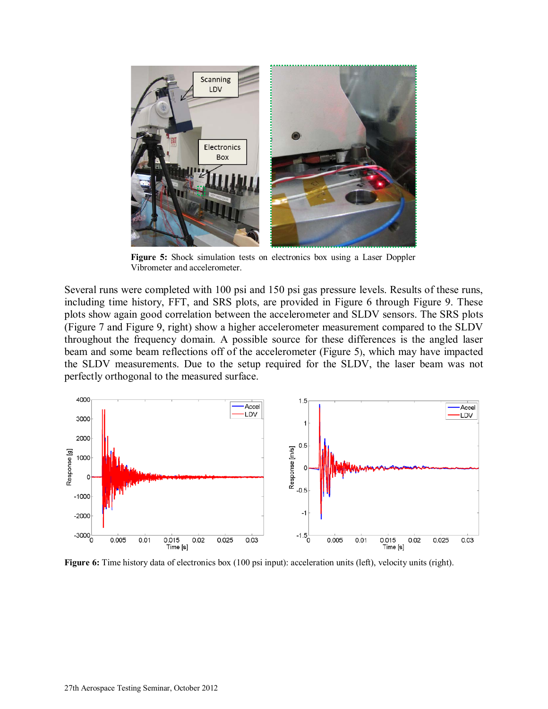

**Figure 5:** Shock simulation tests on electronics box using a Laser Doppler Vibrometer and accelerometer.

<span id="page-4-0"></span>Several runs were completed with 100 psi and 150 psi gas pressure levels. Results of these runs, including time history, FFT, and SRS plots, are provided in [Figure 6](#page-4-1) through [Figure 9.](#page-5-0) These plots show again good correlation between the accelerometer and SLDV sensors. The SRS plots [\(Figure 7](#page-5-1) and [Figure 9,](#page-5-0) right) show a higher accelerometer measurement compared to the SLDV throughout the frequency domain. A possible source for these differences is the angled laser beam and some beam reflections off of the accelerometer [\(Figure 5\)](#page-4-0), which may have impacted the SLDV measurements. Due to the setup required for the SLDV, the laser beam was not perfectly orthogonal to the measured surface.



<span id="page-4-1"></span>**Figure 6:** Time history data of electronics box (100 psi input): acceleration units (left), velocity units (right).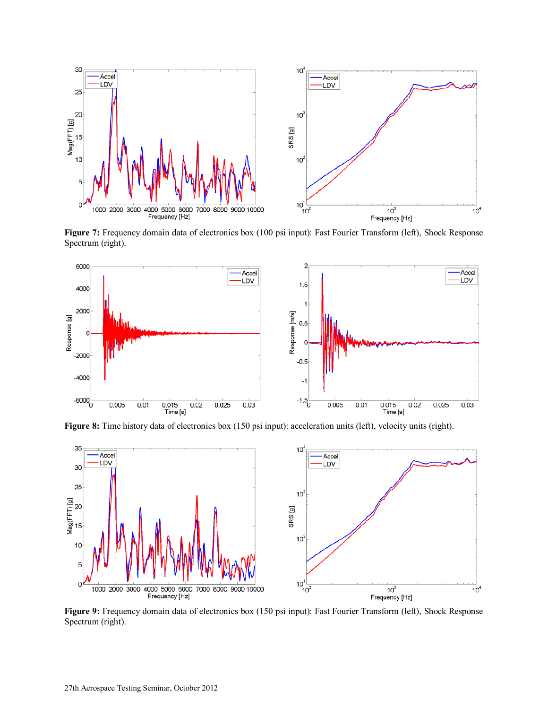

<span id="page-5-1"></span>**Figure 7:** Frequency domain data of electronics box (100 psi input): Fast Fourier Transform (left), Shock Response Spectrum (right).



**Figure 8:** Time history data of electronics box (150 psi input): acceleration units (left), velocity units (right).



<span id="page-5-0"></span>**Figure 9:** Frequency domain data of electronics box (150 psi input): Fast Fourier Transform (left), Shock Response Spectrum (right).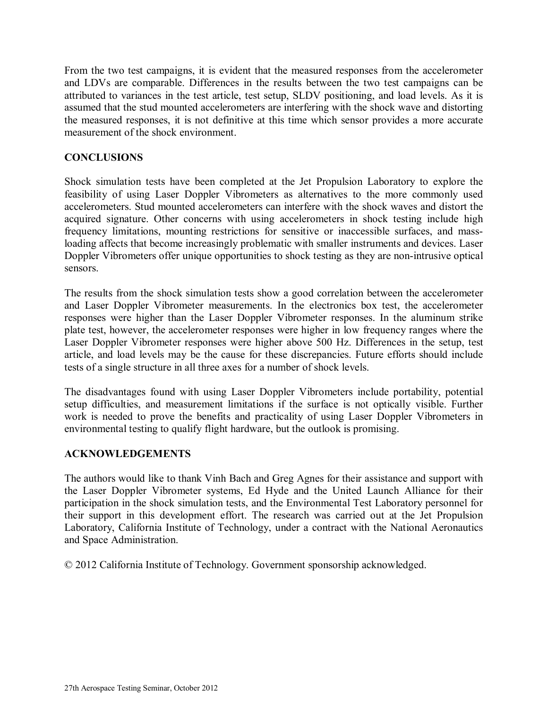From the two test campaigns, it is evident that the measured responses from the accelerometer and LDVs are comparable. Differences in the results between the two test campaigns can be attributed to variances in the test article, test setup, SLDV positioning, and load levels. As it is assumed that the stud mounted accelerometers are interfering with the shock wave and distorting the measured responses, it is not definitive at this time which sensor provides a more accurate measurement of the shock environment.

### **CONCLUSIONS**

Shock simulation tests have been completed at the Jet Propulsion Laboratory to explore the feasibility of using Laser Doppler Vibrometers as alternatives to the more commonly used accelerometers. Stud mounted accelerometers can interfere with the shock waves and distort the acquired signature. Other concerns with using accelerometers in shock testing include high frequency limitations, mounting restrictions for sensitive or inaccessible surfaces, and massloading affects that become increasingly problematic with smaller instruments and devices. Laser Doppler Vibrometers offer unique opportunities to shock testing as they are non-intrusive optical sensors.

The results from the shock simulation tests show a good correlation between the accelerometer and Laser Doppler Vibrometer measurements. In the electronics box test, the accelerometer responses were higher than the Laser Doppler Vibrometer responses. In the aluminum strike plate test, however, the accelerometer responses were higher in low frequency ranges where the Laser Doppler Vibrometer responses were higher above 500 Hz. Differences in the setup, test article, and load levels may be the cause for these discrepancies. Future efforts should include tests of a single structure in all three axes for a number of shock levels.

The disadvantages found with using Laser Doppler Vibrometers include portability, potential setup difficulties, and measurement limitations if the surface is not optically visible. Further work is needed to prove the benefits and practicality of using Laser Doppler Vibrometers in environmental testing to qualify flight hardware, but the outlook is promising.

#### **ACKNOWLEDGEMENTS**

The authors would like to thank Vinh Bach and Greg Agnes for their assistance and support with the Laser Doppler Vibrometer systems, Ed Hyde and the United Launch Alliance for their participation in the shock simulation tests, and the Environmental Test Laboratory personnel for their support in this development effort. The research was carried out at the Jet Propulsion Laboratory, California Institute of Technology, under a contract with the National Aeronautics and Space Administration.

© 2012 California Institute of Technology. Government sponsorship acknowledged.